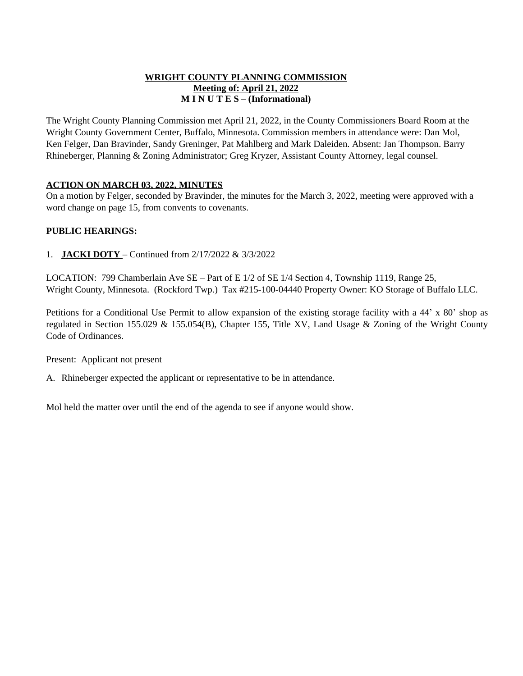### **WRIGHT COUNTY PLANNING COMMISSION Meeting of: April 21, 2022 M I N U T E S – (Informational)**

The Wright County Planning Commission met April 21, 2022, in the County Commissioners Board Room at the Wright County Government Center, Buffalo, Minnesota. Commission members in attendance were: Dan Mol, Ken Felger, Dan Bravinder, Sandy Greninger, Pat Mahlberg and Mark Daleiden. Absent: Jan Thompson. Barry Rhineberger, Planning & Zoning Administrator; Greg Kryzer, Assistant County Attorney, legal counsel.

# **ACTION ON MARCH 03, 2022, MINUTES**

On a motion by Felger, seconded by Bravinder, the minutes for the March 3, 2022, meeting were approved with a word change on page 15, from convents to covenants.

### **PUBLIC HEARINGS:**

1. **JACKI DOTY** – Continued from 2/17/2022 & 3/3/2022

LOCATION: 799 Chamberlain Ave SE – Part of E 1/2 of SE 1/4 Section 4, Township 1119, Range 25, Wright County, Minnesota. (Rockford Twp.) Tax #215-100-04440 Property Owner: KO Storage of Buffalo LLC.

Petitions for a Conditional Use Permit to allow expansion of the existing storage facility with a 44' x 80' shop as regulated in Section 155.029 & 155.054(B), Chapter 155, Title XV, Land Usage & Zoning of the Wright County Code of Ordinances.

Present: Applicant not present

A. Rhineberger expected the applicant or representative to be in attendance.

Mol held the matter over until the end of the agenda to see if anyone would show.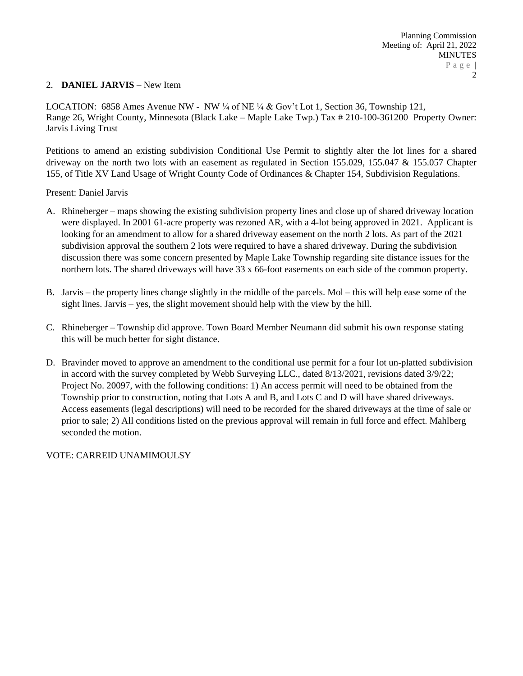### 2. **DANIEL JARVIS –** New Item

LOCATION: 6858 Ames Avenue NW - NW  $\frac{1}{4}$  of NE  $\frac{1}{4}$  & Gov't Lot 1, Section 36, Township 121, Range 26, Wright County, Minnesota (Black Lake – Maple Lake Twp.) Tax # 210-100-361200 Property Owner: Jarvis Living Trust

Petitions to amend an existing subdivision Conditional Use Permit to slightly alter the lot lines for a shared driveway on the north two lots with an easement as regulated in Section 155.029, 155.047 & 155.057 Chapter 155, of Title XV Land Usage of Wright County Code of Ordinances & Chapter 154, Subdivision Regulations.

Present: Daniel Jarvis

- A. Rhineberger maps showing the existing subdivision property lines and close up of shared driveway location were displayed. In 2001 61-acre property was rezoned AR, with a 4-lot being approved in 2021. Applicant is looking for an amendment to allow for a shared driveway easement on the north 2 lots. As part of the 2021 subdivision approval the southern 2 lots were required to have a shared driveway. During the subdivision discussion there was some concern presented by Maple Lake Township regarding site distance issues for the northern lots. The shared driveways will have 33 x 66-foot easements on each side of the common property.
- B. Jarvis the property lines change slightly in the middle of the parcels. Mol this will help ease some of the sight lines. Jarvis – yes, the slight movement should help with the view by the hill.
- C. Rhineberger Township did approve. Town Board Member Neumann did submit his own response stating this will be much better for sight distance.
- D. Bravinder moved to approve an amendment to the conditional use permit for a four lot un-platted subdivision in accord with the survey completed by Webb Surveying LLC., dated 8/13/2021, revisions dated 3/9/22; Project No. 20097, with the following conditions: 1) An access permit will need to be obtained from the Township prior to construction, noting that Lots A and B, and Lots C and D will have shared driveways. Access easements (legal descriptions) will need to be recorded for the shared driveways at the time of sale or prior to sale; 2) All conditions listed on the previous approval will remain in full force and effect. Mahlberg seconded the motion.

VOTE: CARREID UNAMIMOULSY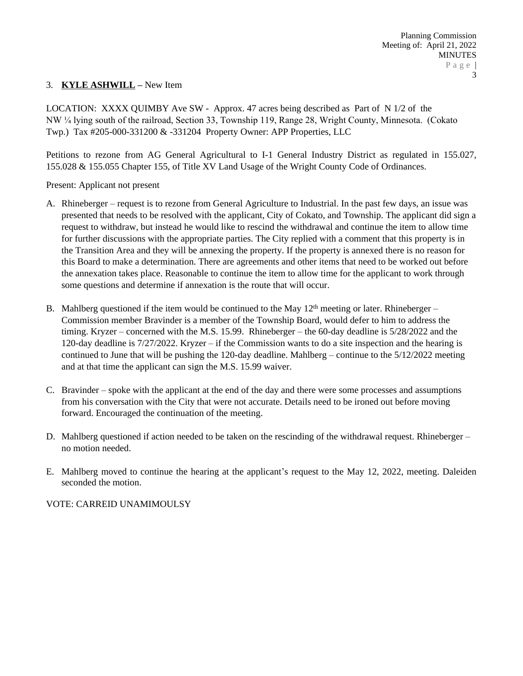# 3. **KYLE ASHWILL –** New Item

LOCATION: XXXX QUIMBY Ave SW - Approx. 47 acres being described as Part of N 1/2 of the NW ¼ lying south of the railroad, Section 33, Township 119, Range 28, Wright County, Minnesota. (Cokato Twp.) Tax #205-000-331200 & -331204 Property Owner: APP Properties, LLC

Petitions to rezone from AG General Agricultural to I-1 General Industry District as regulated in 155.027, 155.028 & 155.055 Chapter 155, of Title XV Land Usage of the Wright County Code of Ordinances.

Present: Applicant not present

- A. Rhineberger request is to rezone from General Agriculture to Industrial. In the past few days, an issue was presented that needs to be resolved with the applicant, City of Cokato, and Township. The applicant did sign a request to withdraw, but instead he would like to rescind the withdrawal and continue the item to allow time for further discussions with the appropriate parties. The City replied with a comment that this property is in the Transition Area and they will be annexing the property. If the property is annexed there is no reason for this Board to make a determination. There are agreements and other items that need to be worked out before the annexation takes place. Reasonable to continue the item to allow time for the applicant to work through some questions and determine if annexation is the route that will occur.
- B. Mahlberg questioned if the item would be continued to the May  $12<sup>th</sup>$  meeting or later. Rhineberger Commission member Bravinder is a member of the Township Board, would defer to him to address the timing. Kryzer – concerned with the M.S. 15.99. Rhineberger – the 60-day deadline is 5/28/2022 and the 120-day deadline is 7/27/2022. Kryzer – if the Commission wants to do a site inspection and the hearing is continued to June that will be pushing the 120-day deadline. Mahlberg – continue to the 5/12/2022 meeting and at that time the applicant can sign the M.S. 15.99 waiver.
- C. Bravinder spoke with the applicant at the end of the day and there were some processes and assumptions from his conversation with the City that were not accurate. Details need to be ironed out before moving forward. Encouraged the continuation of the meeting.
- D. Mahlberg questioned if action needed to be taken on the rescinding of the withdrawal request. Rhineberger no motion needed.
- E. Mahlberg moved to continue the hearing at the applicant's request to the May 12, 2022, meeting. Daleiden seconded the motion.

VOTE: CARREID UNAMIMOULSY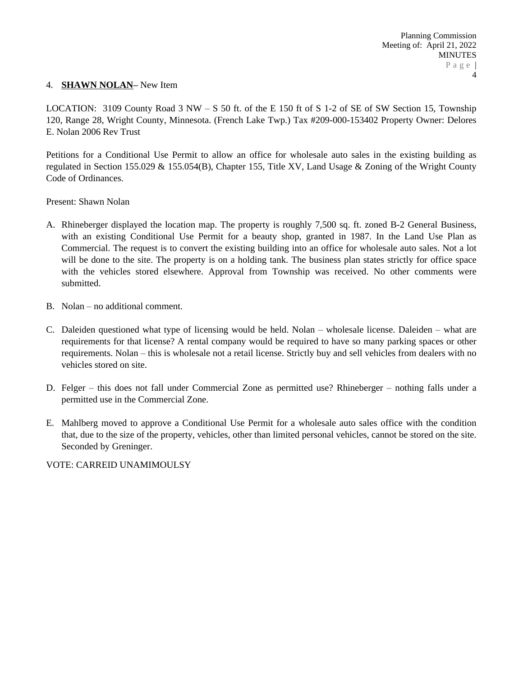### 4. **SHAWN NOLAN–** New Item

LOCATION: 3109 County Road  $3 NW - S$  50 ft. of the E 150 ft of S 1-2 of SE of SW Section 15, Township 120, Range 28, Wright County, Minnesota. (French Lake Twp.) Tax #209-000-153402 Property Owner: Delores E. Nolan 2006 Rev Trust

Petitions for a Conditional Use Permit to allow an office for wholesale auto sales in the existing building as regulated in Section 155.029 & 155.054(B), Chapter 155, Title XV, Land Usage & Zoning of the Wright County Code of Ordinances.

Present: Shawn Nolan

- A. Rhineberger displayed the location map. The property is roughly 7,500 sq. ft. zoned B-2 General Business, with an existing Conditional Use Permit for a beauty shop, granted in 1987. In the Land Use Plan as Commercial. The request is to convert the existing building into an office for wholesale auto sales. Not a lot will be done to the site. The property is on a holding tank. The business plan states strictly for office space with the vehicles stored elsewhere. Approval from Township was received. No other comments were submitted.
- B. Nolan no additional comment.
- C. Daleiden questioned what type of licensing would be held. Nolan wholesale license. Daleiden what are requirements for that license? A rental company would be required to have so many parking spaces or other requirements. Nolan – this is wholesale not a retail license. Strictly buy and sell vehicles from dealers with no vehicles stored on site.
- D. Felger this does not fall under Commercial Zone as permitted use? Rhineberger nothing falls under a permitted use in the Commercial Zone.
- E. Mahlberg moved to approve a Conditional Use Permit for a wholesale auto sales office with the condition that, due to the size of the property, vehicles, other than limited personal vehicles, cannot be stored on the site. Seconded by Greninger.

VOTE: CARREID UNAMIMOULSY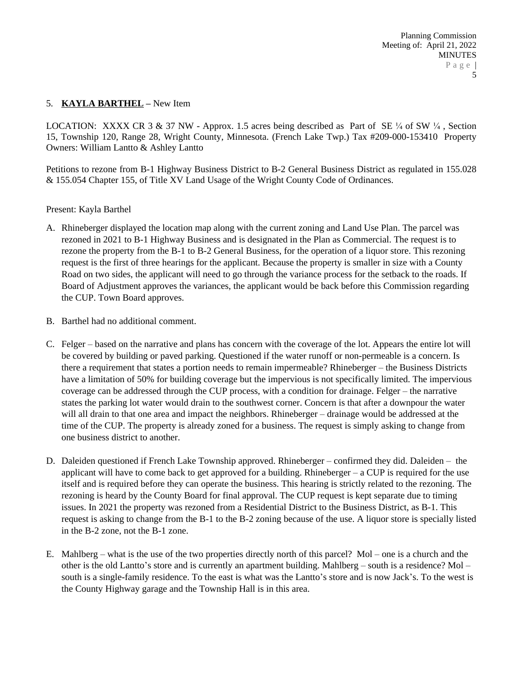# 5. **KAYLA BARTHEL –** New Item

LOCATION: XXXX CR 3 & 37 NW - Approx. 1.5 acres being described as Part of SE 1/4 of SW 1/4, Section 15, Township 120, Range 28, Wright County, Minnesota. (French Lake Twp.) Tax #209-000-153410 Property Owners: William Lantto & Ashley Lantto

Petitions to rezone from B-1 Highway Business District to B-2 General Business District as regulated in 155.028 & 155.054 Chapter 155, of Title XV Land Usage of the Wright County Code of Ordinances.

Present: Kayla Barthel

- A. Rhineberger displayed the location map along with the current zoning and Land Use Plan. The parcel was rezoned in 2021 to B-1 Highway Business and is designated in the Plan as Commercial. The request is to rezone the property from the B-1 to B-2 General Business, for the operation of a liquor store. This rezoning request is the first of three hearings for the applicant. Because the property is smaller in size with a County Road on two sides, the applicant will need to go through the variance process for the setback to the roads. If Board of Adjustment approves the variances, the applicant would be back before this Commission regarding the CUP. Town Board approves.
- B. Barthel had no additional comment.
- C. Felger based on the narrative and plans has concern with the coverage of the lot. Appears the entire lot will be covered by building or paved parking. Questioned if the water runoff or non-permeable is a concern. Is there a requirement that states a portion needs to remain impermeable? Rhineberger – the Business Districts have a limitation of 50% for building coverage but the impervious is not specifically limited. The impervious coverage can be addressed through the CUP process, with a condition for drainage. Felger – the narrative states the parking lot water would drain to the southwest corner. Concern is that after a downpour the water will all drain to that one area and impact the neighbors. Rhineberger – drainage would be addressed at the time of the CUP. The property is already zoned for a business. The request is simply asking to change from one business district to another.
- D. Daleiden questioned if French Lake Township approved. Rhineberger confirmed they did. Daleiden the applicant will have to come back to get approved for a building. Rhineberger  $-$  a CUP is required for the use itself and is required before they can operate the business. This hearing is strictly related to the rezoning. The rezoning is heard by the County Board for final approval. The CUP request is kept separate due to timing issues. In 2021 the property was rezoned from a Residential District to the Business District, as B-1. This request is asking to change from the B-1 to the B-2 zoning because of the use. A liquor store is specially listed in the B-2 zone, not the B-1 zone.
- E. Mahlberg what is the use of the two properties directly north of this parcel? Mol one is a church and the other is the old Lantto's store and is currently an apartment building. Mahlberg – south is a residence? Mol – south is a single-family residence. To the east is what was the Lantto's store and is now Jack's. To the west is the County Highway garage and the Township Hall is in this area.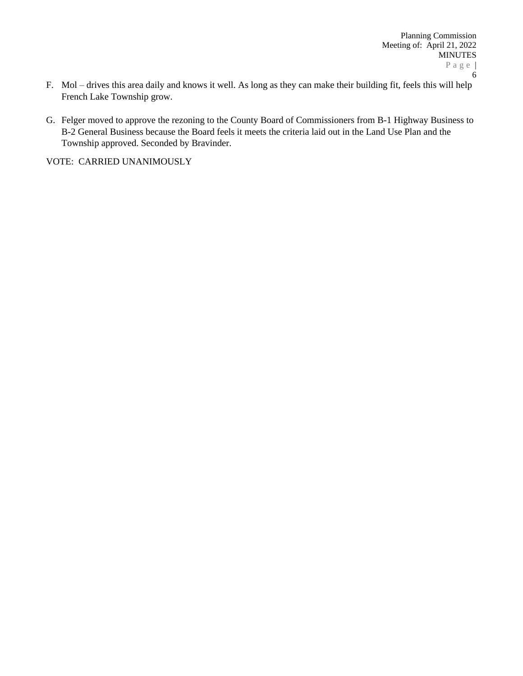- F. Mol drives this area daily and knows it well. As long as they can make their building fit, feels this will help French Lake Township grow.
- G. Felger moved to approve the rezoning to the County Board of Commissioners from B-1 Highway Business to B-2 General Business because the Board feels it meets the criteria laid out in the Land Use Plan and the Township approved. Seconded by Bravinder.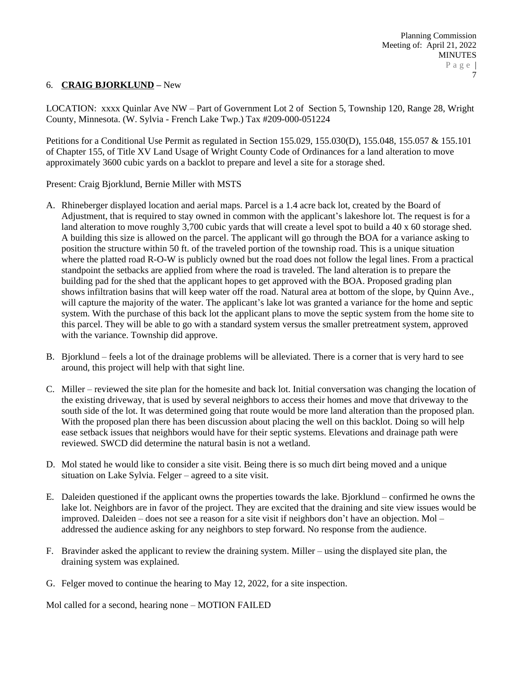### 6. **CRAIG BJORKLUND –** New

LOCATION: xxxx Quinlar Ave NW – Part of Government Lot 2 of Section 5, Township 120, Range 28, Wright County, Minnesota. (W. Sylvia - French Lake Twp.) Tax #209-000-051224

Petitions for a Conditional Use Permit as regulated in Section 155.029, 155.030(D), 155.048, 155.057 & 155.101 of Chapter 155, of Title XV Land Usage of Wright County Code of Ordinances for a land alteration to move approximately 3600 cubic yards on a backlot to prepare and level a site for a storage shed.

Present: Craig Bjorklund, Bernie Miller with MSTS

- A. Rhineberger displayed location and aerial maps. Parcel is a 1.4 acre back lot, created by the Board of Adjustment, that is required to stay owned in common with the applicant's lakeshore lot. The request is for a land alteration to move roughly 3,700 cubic yards that will create a level spot to build a 40 x 60 storage shed. A building this size is allowed on the parcel. The applicant will go through the BOA for a variance asking to position the structure within 50 ft. of the traveled portion of the township road. This is a unique situation where the platted road R-O-W is publicly owned but the road does not follow the legal lines. From a practical standpoint the setbacks are applied from where the road is traveled. The land alteration is to prepare the building pad for the shed that the applicant hopes to get approved with the BOA. Proposed grading plan shows infiltration basins that will keep water off the road. Natural area at bottom of the slope, by Quinn Ave., will capture the majority of the water. The applicant's lake lot was granted a variance for the home and septic system. With the purchase of this back lot the applicant plans to move the septic system from the home site to this parcel. They will be able to go with a standard system versus the smaller pretreatment system, approved with the variance. Township did approve.
- B. Bjorklund feels a lot of the drainage problems will be alleviated. There is a corner that is very hard to see around, this project will help with that sight line.
- C. Miller reviewed the site plan for the homesite and back lot. Initial conversation was changing the location of the existing driveway, that is used by several neighbors to access their homes and move that driveway to the south side of the lot. It was determined going that route would be more land alteration than the proposed plan. With the proposed plan there has been discussion about placing the well on this backlot. Doing so will help ease setback issues that neighbors would have for their septic systems. Elevations and drainage path were reviewed. SWCD did determine the natural basin is not a wetland.
- D. Mol stated he would like to consider a site visit. Being there is so much dirt being moved and a unique situation on Lake Sylvia. Felger – agreed to a site visit.
- E. Daleiden questioned if the applicant owns the properties towards the lake. Bjorklund confirmed he owns the lake lot. Neighbors are in favor of the project. They are excited that the draining and site view issues would be improved. Daleiden – does not see a reason for a site visit if neighbors don't have an objection. Mol – addressed the audience asking for any neighbors to step forward. No response from the audience.
- F. Bravinder asked the applicant to review the draining system. Miller using the displayed site plan, the draining system was explained.
- G. Felger moved to continue the hearing to May 12, 2022, for a site inspection.

Mol called for a second, hearing none – MOTION FAILED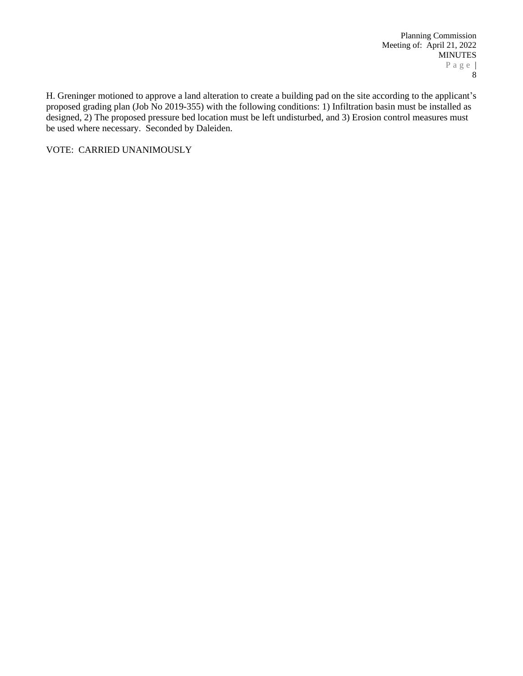Planning Commission Meeting of: April 21, 2022 MINUTES P a g e | 8

H. Greninger motioned to approve a land alteration to create a building pad on the site according to the applicant's proposed grading plan (Job No 2019-355) with the following conditions: 1) Infiltration basin must be installed as designed, 2) The proposed pressure bed location must be left undisturbed, and 3) Erosion control measures must be used where necessary. Seconded by Daleiden.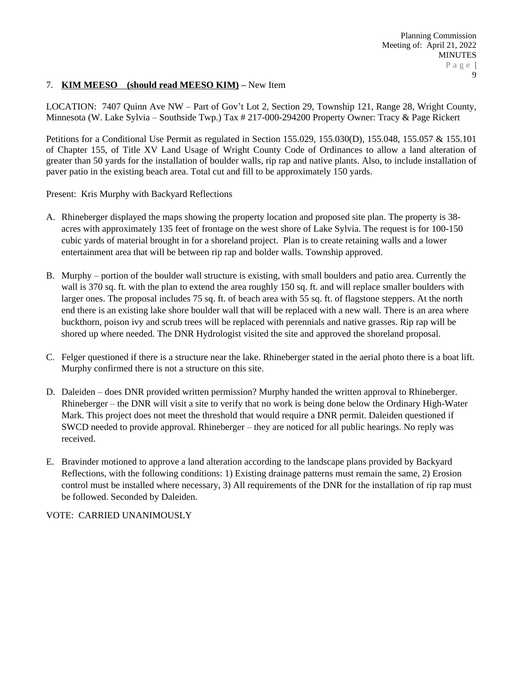### 7. **KIM MEESO (should read MEESO KIM) –** New Item

LOCATION: 7407 Quinn Ave NW – Part of Gov't Lot 2, Section 29, Township 121, Range 28, Wright County, Minnesota (W. Lake Sylvia – Southside Twp.) Tax # 217-000-294200 Property Owner: Tracy & Page Rickert

Petitions for a Conditional Use Permit as regulated in Section 155.029, 155.030(D), 155.048, 155.057 & 155.101 of Chapter 155, of Title XV Land Usage of Wright County Code of Ordinances to allow a land alteration of greater than 50 yards for the installation of boulder walls, rip rap and native plants. Also, to include installation of paver patio in the existing beach area. Total cut and fill to be approximately 150 yards.

Present: Kris Murphy with Backyard Reflections

- A. Rhineberger displayed the maps showing the property location and proposed site plan. The property is 38 acres with approximately 135 feet of frontage on the west shore of Lake Sylvia. The request is for 100-150 cubic yards of material brought in for a shoreland project. Plan is to create retaining walls and a lower entertainment area that will be between rip rap and bolder walls. Township approved.
- B. Murphy portion of the boulder wall structure is existing, with small boulders and patio area. Currently the wall is 370 sq. ft. with the plan to extend the area roughly 150 sq. ft. and will replace smaller boulders with larger ones. The proposal includes 75 sq. ft. of beach area with 55 sq. ft. of flagstone steppers. At the north end there is an existing lake shore boulder wall that will be replaced with a new wall. There is an area where buckthorn, poison ivy and scrub trees will be replaced with perennials and native grasses. Rip rap will be shored up where needed. The DNR Hydrologist visited the site and approved the shoreland proposal.
- C. Felger questioned if there is a structure near the lake. Rhineberger stated in the aerial photo there is a boat lift. Murphy confirmed there is not a structure on this site.
- D. Daleiden does DNR provided written permission? Murphy handed the written approval to Rhineberger. Rhineberger – the DNR will visit a site to verify that no work is being done below the Ordinary High-Water Mark. This project does not meet the threshold that would require a DNR permit. Daleiden questioned if SWCD needed to provide approval. Rhineberger – they are noticed for all public hearings. No reply was received.
- E. Bravinder motioned to approve a land alteration according to the landscape plans provided by Backyard Reflections, with the following conditions: 1) Existing drainage patterns must remain the same, 2) Erosion control must be installed where necessary, 3) All requirements of the DNR for the installation of rip rap must be followed. Seconded by Daleiden.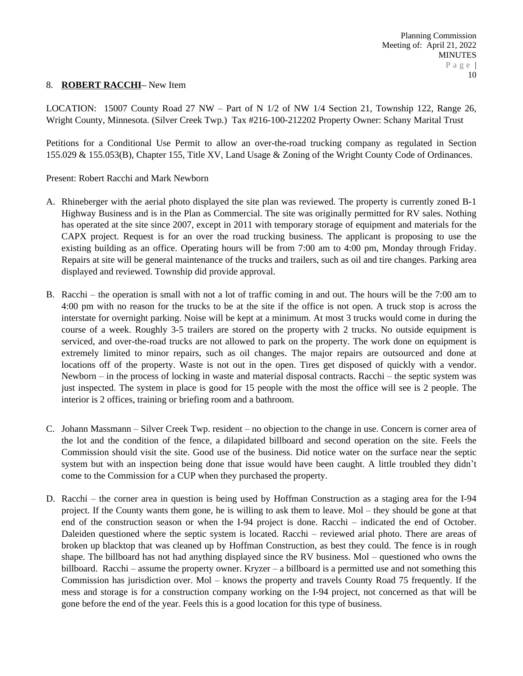#### 8. **ROBERT RACCHI–** New Item

LOCATION: 15007 County Road 27 NW – Part of N 1/2 of NW 1/4 Section 21, Township 122, Range 26, Wright County, Minnesota. (Silver Creek Twp.) Tax #216-100-212202 Property Owner: Schany Marital Trust

Petitions for a Conditional Use Permit to allow an over-the-road trucking company as regulated in Section 155.029 & 155.053(B), Chapter 155, Title XV, Land Usage & Zoning of the Wright County Code of Ordinances.

Present: Robert Racchi and Mark Newborn

- A. Rhineberger with the aerial photo displayed the site plan was reviewed. The property is currently zoned B-1 Highway Business and is in the Plan as Commercial. The site was originally permitted for RV sales. Nothing has operated at the site since 2007, except in 2011 with temporary storage of equipment and materials for the CAPX project. Request is for an over the road trucking business. The applicant is proposing to use the existing building as an office. Operating hours will be from 7:00 am to 4:00 pm, Monday through Friday. Repairs at site will be general maintenance of the trucks and trailers, such as oil and tire changes. Parking area displayed and reviewed. Township did provide approval.
- B. Racchi the operation is small with not a lot of traffic coming in and out. The hours will be the 7:00 am to 4:00 pm with no reason for the trucks to be at the site if the office is not open. A truck stop is across the interstate for overnight parking. Noise will be kept at a minimum. At most 3 trucks would come in during the course of a week. Roughly 3-5 trailers are stored on the property with 2 trucks. No outside equipment is serviced, and over-the-road trucks are not allowed to park on the property. The work done on equipment is extremely limited to minor repairs, such as oil changes. The major repairs are outsourced and done at locations off of the property. Waste is not out in the open. Tires get disposed of quickly with a vendor. Newborn – in the process of locking in waste and material disposal contracts. Racchi – the septic system was just inspected. The system in place is good for 15 people with the most the office will see is 2 people. The interior is 2 offices, training or briefing room and a bathroom.
- C. Johann Massmann Silver Creek Twp. resident no objection to the change in use. Concern is corner area of the lot and the condition of the fence, a dilapidated billboard and second operation on the site. Feels the Commission should visit the site. Good use of the business. Did notice water on the surface near the septic system but with an inspection being done that issue would have been caught. A little troubled they didn't come to the Commission for a CUP when they purchased the property.
- D. Racchi the corner area in question is being used by Hoffman Construction as a staging area for the I-94 project. If the County wants them gone, he is willing to ask them to leave. Mol – they should be gone at that end of the construction season or when the I-94 project is done. Racchi – indicated the end of October. Daleiden questioned where the septic system is located. Racchi – reviewed arial photo. There are areas of broken up blacktop that was cleaned up by Hoffman Construction, as best they could. The fence is in rough shape. The billboard has not had anything displayed since the RV business. Mol – questioned who owns the billboard. Racchi – assume the property owner. Kryzer – a billboard is a permitted use and not something this Commission has jurisdiction over. Mol – knows the property and travels County Road 75 frequently. If the mess and storage is for a construction company working on the I-94 project, not concerned as that will be gone before the end of the year. Feels this is a good location for this type of business.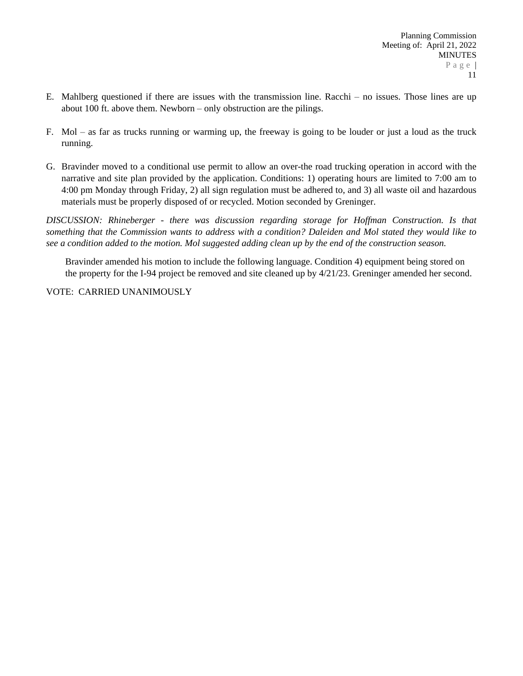- E. Mahlberg questioned if there are issues with the transmission line. Racchi no issues. Those lines are up about 100 ft. above them. Newborn – only obstruction are the pilings.
- F. Mol as far as trucks running or warming up, the freeway is going to be louder or just a loud as the truck running.
- G. Bravinder moved to a conditional use permit to allow an over-the road trucking operation in accord with the narrative and site plan provided by the application. Conditions: 1) operating hours are limited to 7:00 am to 4:00 pm Monday through Friday, 2) all sign regulation must be adhered to, and 3) all waste oil and hazardous materials must be properly disposed of or recycled. Motion seconded by Greninger.

*DISCUSSION: Rhineberger - there was discussion regarding storage for Hoffman Construction. Is that* something that the Commission wants to address with a condition? Daleiden and Mol stated they would like to *see a condition added to the motion. Mol suggested adding clean up by the end of the construction season.*

Bravinder amended his motion to include the following language. Condition 4) equipment being stored on the property for the I-94 project be removed and site cleaned up by 4/21/23. Greninger amended her second.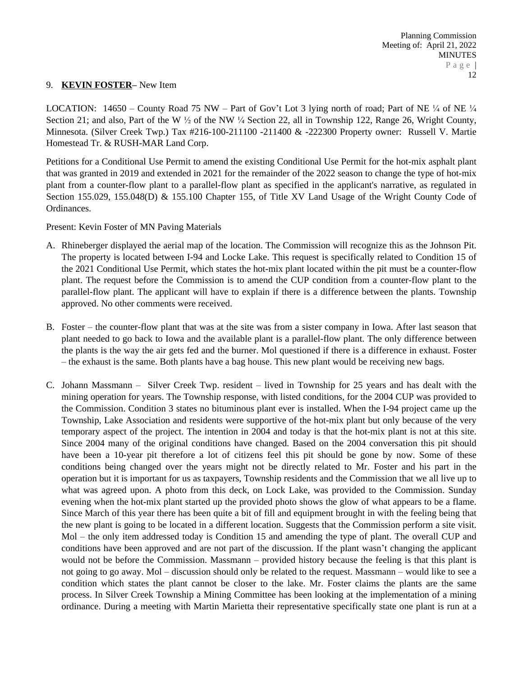#### 9. **KEVIN FOSTER–** New Item

LOCATION: 14650 – County Road 75 NW – Part of Gov't Lot 3 lying north of road; Part of NE 1/4 of NE 1/4 Section 21; and also, Part of the W  $\frac{1}{2}$  of the NW  $\frac{1}{4}$  Section 22, all in Township 122, Range 26, Wright County, Minnesota. (Silver Creek Twp.) Tax #216-100-211100 -211400 & -222300 Property owner: Russell V. Martie Homestead Tr. & RUSH-MAR Land Corp.

Petitions for a Conditional Use Permit to amend the existing Conditional Use Permit for the hot-mix asphalt plant that was granted in 2019 and extended in 2021 for the remainder of the 2022 season to change the type of hot-mix plant from a counter-flow plant to a parallel-flow plant as specified in the applicant's narrative, as regulated in Section 155.029, 155.048(D) & 155.100 Chapter 155, of Title XV Land Usage of the Wright County Code of Ordinances.

Present: Kevin Foster of MN Paving Materials

- A. Rhineberger displayed the aerial map of the location. The Commission will recognize this as the Johnson Pit. The property is located between I-94 and Locke Lake. This request is specifically related to Condition 15 of the 2021 Conditional Use Permit, which states the hot-mix plant located within the pit must be a counter-flow plant. The request before the Commission is to amend the CUP condition from a counter-flow plant to the parallel-flow plant. The applicant will have to explain if there is a difference between the plants. Township approved. No other comments were received.
- B. Foster the counter-flow plant that was at the site was from a sister company in Iowa. After last season that plant needed to go back to Iowa and the available plant is a parallel-flow plant. The only difference between the plants is the way the air gets fed and the burner. Mol questioned if there is a difference in exhaust. Foster – the exhaust is the same. Both plants have a bag house. This new plant would be receiving new bags.
- C. Johann Massmann Silver Creek Twp. resident lived in Township for 25 years and has dealt with the mining operation for years. The Township response, with listed conditions, for the 2004 CUP was provided to the Commission. Condition 3 states no bituminous plant ever is installed. When the I-94 project came up the Township, Lake Association and residents were supportive of the hot-mix plant but only because of the very temporary aspect of the project. The intention in 2004 and today is that the hot-mix plant is not at this site. Since 2004 many of the original conditions have changed. Based on the 2004 conversation this pit should have been a 10-year pit therefore a lot of citizens feel this pit should be gone by now. Some of these conditions being changed over the years might not be directly related to Mr. Foster and his part in the operation but it is important for us as taxpayers, Township residents and the Commission that we all live up to what was agreed upon. A photo from this deck, on Lock Lake, was provided to the Commission. Sunday evening when the hot-mix plant started up the provided photo shows the glow of what appears to be a flame. Since March of this year there has been quite a bit of fill and equipment brought in with the feeling being that the new plant is going to be located in a different location. Suggests that the Commission perform a site visit. Mol – the only item addressed today is Condition 15 and amending the type of plant. The overall CUP and conditions have been approved and are not part of the discussion. If the plant wasn't changing the applicant would not be before the Commission. Massmann – provided history because the feeling is that this plant is not going to go away. Mol – discussion should only be related to the request. Massmann – would like to see a condition which states the plant cannot be closer to the lake. Mr. Foster claims the plants are the same process. In Silver Creek Township a Mining Committee has been looking at the implementation of a mining ordinance. During a meeting with Martin Marietta their representative specifically state one plant is run at a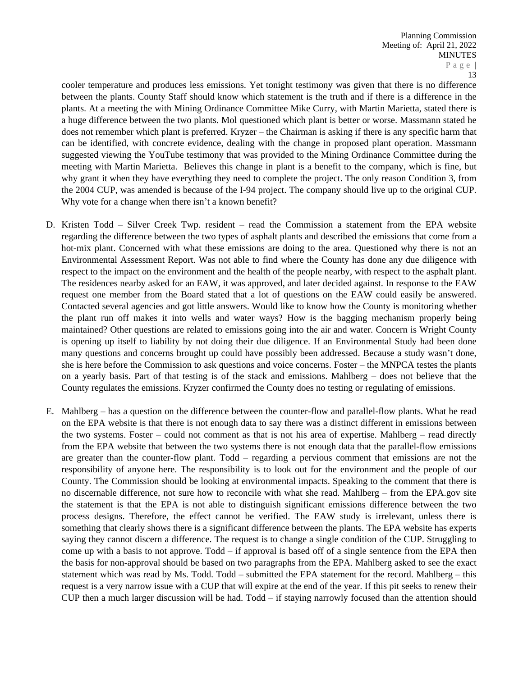cooler temperature and produces less emissions. Yet tonight testimony was given that there is no difference between the plants. County Staff should know which statement is the truth and if there is a difference in the plants. At a meeting the with Mining Ordinance Committee Mike Curry, with Martin Marietta, stated there is a huge difference between the two plants. Mol questioned which plant is better or worse. Massmann stated he does not remember which plant is preferred. Kryzer – the Chairman is asking if there is any specific harm that can be identified, with concrete evidence, dealing with the change in proposed plant operation. Massmann suggested viewing the YouTube testimony that was provided to the Mining Ordinance Committee during the meeting with Martin Marietta. Believes this change in plant is a benefit to the company, which is fine, but why grant it when they have everything they need to complete the project. The only reason Condition 3, from the 2004 CUP, was amended is because of the I-94 project. The company should live up to the original CUP. Why vote for a change when there isn't a known benefit?

- D. Kristen Todd Silver Creek Twp. resident read the Commission a statement from the EPA website regarding the difference between the two types of asphalt plants and described the emissions that come from a hot-mix plant. Concerned with what these emissions are doing to the area. Questioned why there is not an Environmental Assessment Report. Was not able to find where the County has done any due diligence with respect to the impact on the environment and the health of the people nearby, with respect to the asphalt plant. The residences nearby asked for an EAW, it was approved, and later decided against. In response to the EAW request one member from the Board stated that a lot of questions on the EAW could easily be answered. Contacted several agencies and got little answers. Would like to know how the County is monitoring whether the plant run off makes it into wells and water ways? How is the bagging mechanism properly being maintained? Other questions are related to emissions going into the air and water. Concern is Wright County is opening up itself to liability by not doing their due diligence. If an Environmental Study had been done many questions and concerns brought up could have possibly been addressed. Because a study wasn't done, she is here before the Commission to ask questions and voice concerns. Foster – the MNPCA testes the plants on a yearly basis. Part of that testing is of the stack and emissions. Mahlberg – does not believe that the County regulates the emissions. Kryzer confirmed the County does no testing or regulating of emissions.
- E. Mahlberg has a question on the difference between the counter-flow and parallel-flow plants. What he read on the EPA website is that there is not enough data to say there was a distinct different in emissions between the two systems. Foster – could not comment as that is not his area of expertise. Mahlberg – read directly from the EPA website that between the two systems there is not enough data that the parallel-flow emissions are greater than the counter-flow plant. Todd – regarding a pervious comment that emissions are not the responsibility of anyone here. The responsibility is to look out for the environment and the people of our County. The Commission should be looking at environmental impacts. Speaking to the comment that there is no discernable difference, not sure how to reconcile with what she read. Mahlberg – from the EPA.gov site the statement is that the EPA is not able to distinguish significant emissions difference between the two process designs. Therefore, the effect cannot be verified. The EAW study is irrelevant, unless there is something that clearly shows there is a significant difference between the plants. The EPA website has experts saying they cannot discern a difference. The request is to change a single condition of the CUP. Struggling to come up with a basis to not approve. Todd – if approval is based off of a single sentence from the EPA then the basis for non-approval should be based on two paragraphs from the EPA. Mahlberg asked to see the exact statement which was read by Ms. Todd. Todd – submitted the EPA statement for the record. Mahlberg – this request is a very narrow issue with a CUP that will expire at the end of the year. If this pit seeks to renew their CUP then a much larger discussion will be had. Todd – if staying narrowly focused than the attention should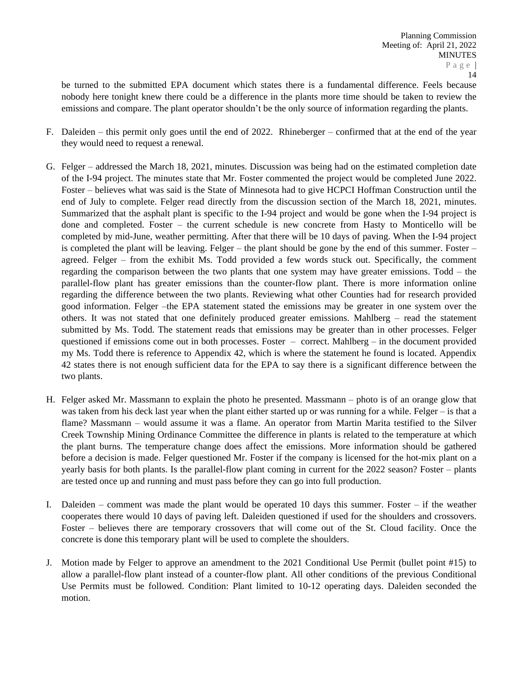be turned to the submitted EPA document which states there is a fundamental difference. Feels because nobody here tonight knew there could be a difference in the plants more time should be taken to review the emissions and compare. The plant operator shouldn't be the only source of information regarding the plants.

- F. Daleiden this permit only goes until the end of 2022. Rhineberger confirmed that at the end of the year they would need to request a renewal.
- G. Felger addressed the March 18, 2021, minutes. Discussion was being had on the estimated completion date of the I-94 project. The minutes state that Mr. Foster commented the project would be completed June 2022. Foster – believes what was said is the State of Minnesota had to give HCPCI Hoffman Construction until the end of July to complete. Felger read directly from the discussion section of the March 18, 2021, minutes. Summarized that the asphalt plant is specific to the I-94 project and would be gone when the I-94 project is done and completed. Foster – the current schedule is new concrete from Hasty to Monticello will be completed by mid-June, weather permitting. After that there will be 10 days of paving. When the I-94 project is completed the plant will be leaving. Felger – the plant should be gone by the end of this summer. Foster – agreed. Felger – from the exhibit Ms. Todd provided a few words stuck out. Specifically, the comment regarding the comparison between the two plants that one system may have greater emissions. Todd – the parallel-flow plant has greater emissions than the counter-flow plant. There is more information online regarding the difference between the two plants. Reviewing what other Counties had for research provided good information. Felger –the EPA statement stated the emissions may be greater in one system over the others. It was not stated that one definitely produced greater emissions. Mahlberg – read the statement submitted by Ms. Todd. The statement reads that emissions may be greater than in other processes. Felger questioned if emissions come out in both processes. Foster – correct. Mahlberg – in the document provided my Ms. Todd there is reference to Appendix 42, which is where the statement he found is located. Appendix 42 states there is not enough sufficient data for the EPA to say there is a significant difference between the two plants.
- H. Felger asked Mr. Massmann to explain the photo he presented. Massmann photo is of an orange glow that was taken from his deck last year when the plant either started up or was running for a while. Felger – is that a flame? Massmann – would assume it was a flame. An operator from Martin Marita testified to the Silver Creek Township Mining Ordinance Committee the difference in plants is related to the temperature at which the plant burns. The temperature change does affect the emissions. More information should be gathered before a decision is made. Felger questioned Mr. Foster if the company is licensed for the hot-mix plant on a yearly basis for both plants. Is the parallel-flow plant coming in current for the 2022 season? Foster – plants are tested once up and running and must pass before they can go into full production.
- I. Daleiden comment was made the plant would be operated 10 days this summer. Foster if the weather cooperates there would 10 days of paving left. Daleiden questioned if used for the shoulders and crossovers. Foster – believes there are temporary crossovers that will come out of the St. Cloud facility. Once the concrete is done this temporary plant will be used to complete the shoulders.
- J. Motion made by Felger to approve an amendment to the 2021 Conditional Use Permit (bullet point #15) to allow a parallel-flow plant instead of a counter-flow plant. All other conditions of the previous Conditional Use Permits must be followed. Condition: Plant limited to 10-12 operating days. Daleiden seconded the motion.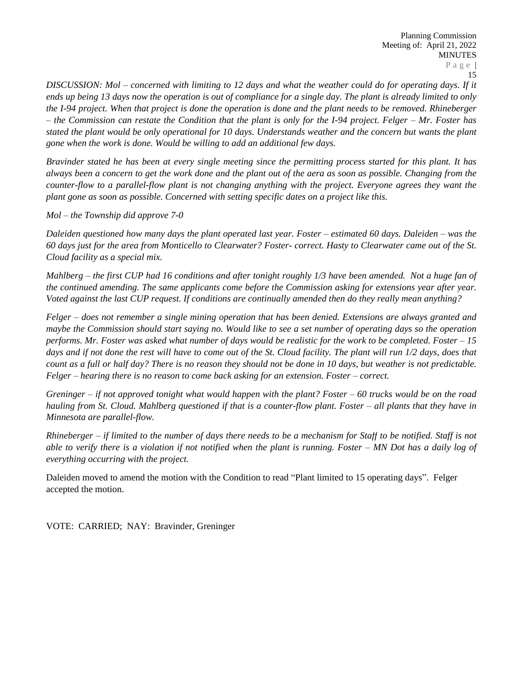DISCUSSION: Mol – concerned with limiting to 12 days and what the weather could do for operating days. If it ends up being 13 days now the operation is out of compliance for a single day. The plant is already limited to only the I-94 project. When that project is done the operation is done and the plant needs to be removed. Rhineberger  $-$  the Commission can restate the Condition that the plant is only for the I-94 project. Felger  $-$  Mr. Foster has stated the plant would be only operational for 10 days. Understands weather and the concern but wants the plant *gone when the work is done. Would be willing to add an additional few days.*

Bravinder stated he has been at every single meeting since the permitting process started for this plant. It has always been a concern to get the work done and the plant out of the aera as soon as possible. Changing from the counter-flow to a parallel-flow plant is not changing anything with the project. Everyone agrees they want the *plant gone as soon as possible. Concerned with setting specific dates on a project like this.*

*Mol – the Township did approve 7-0*

Daleiden questioned how many days the plant operated last year. Foster – estimated 60 days. Daleiden – was the 60 days just for the area from Monticello to Clearwater? Foster-correct. Hasty to Clearwater came out of the St. *Cloud facility as a special mix.*

Mahlberg – the first CUP had 16 conditions and after tonight roughly  $1/3$  have been amended. Not a huge fan of *the continued amending. The same applicants come before the Commission asking for extensions year after year. Voted against the last CUP request. If conditions are continually amended then do they really mean anything?* 

Felger – does not remember a single mining operation that has been denied. Extensions are always granted and maybe the Commission should start saying no. Would like to see a set number of operating days so the operation performs. Mr. Foster was asked what number of days would be realistic for the work to be completed. Foster  $-15$ days and if not done the rest will have to come out of the St. Cloud facility. The plant will run 1/2 days, does that count as a full or half day? There is no reason they should not be done in 10 days, but weather is not predictable. *Felger – hearing there is no reason to come back asking for an extension. Foster – correct.* 

Greninger – if not approved tonight what would happen with the plant? Foster – 60 trucks would be on the road hauling from St. Cloud. Mahlberg questioned if that is a counter-flow plant. Foster – all plants that they have in *Minnesota are parallel-flow.* 

Rhineberger  $-$  if limited to the number of days there needs to be a mechanism for Staff to be notified. Staff is not able to verify there is a violation if not notified when the plant is running. Foster  $-MN$  Dot has a daily log of *everything occurring with the project.* 

Daleiden moved to amend the motion with the Condition to read "Plant limited to 15 operating days". Felger accepted the motion.

VOTE: CARRIED; NAY: Bravinder, Greninger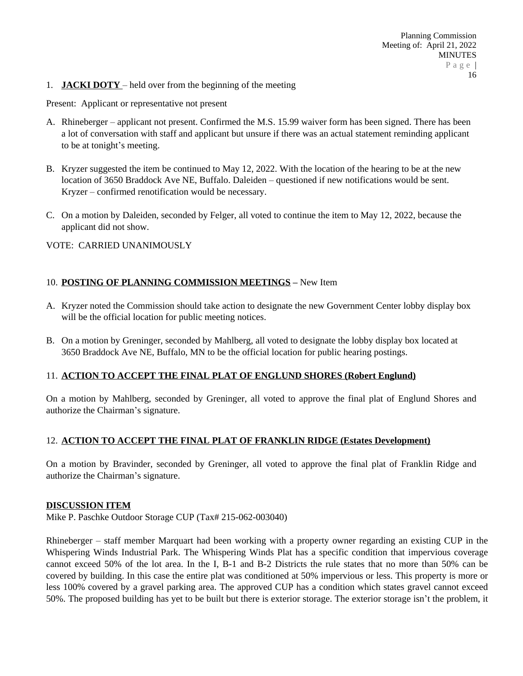1. **JACKI DOTY** – held over from the beginning of the meeting

Present: Applicant or representative not present

- A. Rhineberger applicant not present. Confirmed the M.S. 15.99 waiver form has been signed. There has been a lot of conversation with staff and applicant but unsure if there was an actual statement reminding applicant to be at tonight's meeting.
- B. Kryzer suggested the item be continued to May 12, 2022. With the location of the hearing to be at the new location of 3650 Braddock Ave NE, Buffalo. Daleiden – questioned if new notifications would be sent. Kryzer – confirmed renotification would be necessary.
- C. On a motion by Daleiden, seconded by Felger, all voted to continue the item to May 12, 2022, because the applicant did not show.

VOTE: CARRIED UNANIMOUSLY

# 10. **POSTING OF PLANNING COMMISSION MEETINGS –** New Item

- A. Kryzer noted the Commission should take action to designate the new Government Center lobby display box will be the official location for public meeting notices.
- B. On a motion by Greninger, seconded by Mahlberg, all voted to designate the lobby display box located at 3650 Braddock Ave NE, Buffalo, MN to be the official location for public hearing postings.

#### 11. **ACTION TO ACCEPT THE FINAL PLAT OF ENGLUND SHORES (Robert Englund)**

On a motion by Mahlberg, seconded by Greninger, all voted to approve the final plat of Englund Shores and authorize the Chairman's signature.

#### 12. **ACTION TO ACCEPT THE FINAL PLAT OF FRANKLIN RIDGE (Estates Development)**

On a motion by Bravinder, seconded by Greninger, all voted to approve the final plat of Franklin Ridge and authorize the Chairman's signature.

#### **DISCUSSION ITEM**

Mike P. Paschke Outdoor Storage CUP (Tax# 215-062-003040)

Rhineberger – staff member Marquart had been working with a property owner regarding an existing CUP in the Whispering Winds Industrial Park. The Whispering Winds Plat has a specific condition that impervious coverage cannot exceed 50% of the lot area. In the I, B-1 and B-2 Districts the rule states that no more than 50% can be covered by building. In this case the entire plat was conditioned at 50% impervious or less. This property is more or less 100% covered by a gravel parking area. The approved CUP has a condition which states gravel cannot exceed 50%. The proposed building has yet to be built but there is exterior storage. The exterior storage isn't the problem, it